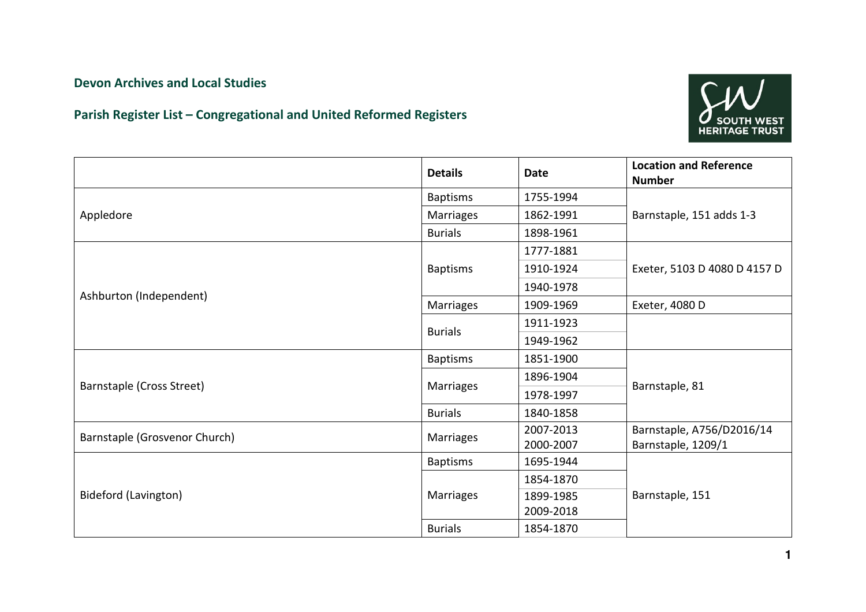## Devon Archives and Local Studies

## Parish Register List – Congregational and United Reformed Registers



|                               | <b>Details</b>   | <b>Date</b> | <b>Location and Reference</b><br><b>Number</b> |
|-------------------------------|------------------|-------------|------------------------------------------------|
| Appledore                     | <b>Baptisms</b>  | 1755-1994   |                                                |
|                               | Marriages        | 1862-1991   | Barnstaple, 151 adds 1-3                       |
|                               | <b>Burials</b>   | 1898-1961   |                                                |
|                               |                  | 1777-1881   |                                                |
|                               | <b>Baptisms</b>  | 1910-1924   | Exeter, 5103 D 4080 D 4157 D                   |
|                               |                  | 1940-1978   |                                                |
| Ashburton (Independent)       | Marriages        | 1909-1969   | Exeter, 4080 D                                 |
|                               |                  | 1911-1923   |                                                |
|                               | <b>Burials</b>   | 1949-1962   |                                                |
|                               | <b>Baptisms</b>  | 1851-1900   |                                                |
|                               |                  | 1896-1904   |                                                |
| Barnstaple (Cross Street)     | Marriages        | 1978-1997   | Barnstaple, 81                                 |
|                               | <b>Burials</b>   | 1840-1858   |                                                |
| Barnstaple (Grosvenor Church) | <b>Marriages</b> | 2007-2013   | Barnstaple, A756/D2016/14                      |
|                               |                  | 2000-2007   | Barnstaple, 1209/1                             |
| <b>Bideford (Lavington)</b>   | <b>Baptisms</b>  | 1695-1944   |                                                |
|                               |                  | 1854-1870   |                                                |
|                               | <b>Marriages</b> | 1899-1985   | Barnstaple, 151                                |
|                               |                  | 2009-2018   |                                                |
|                               | <b>Burials</b>   | 1854-1870   |                                                |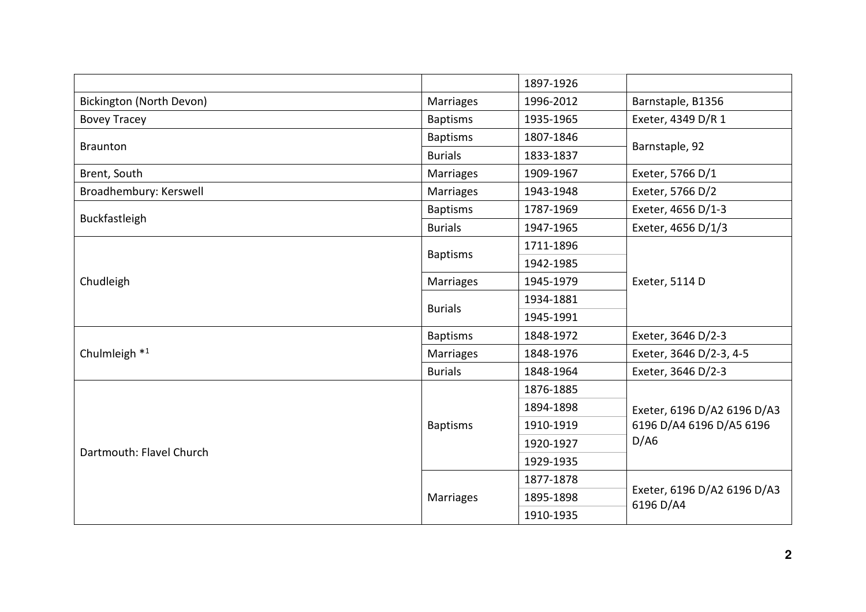|                          |                  | 1897-1926 |                                                                 |
|--------------------------|------------------|-----------|-----------------------------------------------------------------|
| Bickington (North Devon) | Marriages        | 1996-2012 | Barnstaple, B1356                                               |
| <b>Bovey Tracey</b>      | <b>Baptisms</b>  | 1935-1965 | Exeter, 4349 D/R 1                                              |
| <b>Braunton</b>          | <b>Baptisms</b>  | 1807-1846 | Barnstaple, 92                                                  |
|                          | <b>Burials</b>   | 1833-1837 |                                                                 |
| Brent, South             | Marriages        | 1909-1967 | Exeter, 5766 D/1                                                |
| Broadhembury: Kerswell   | Marriages        | 1943-1948 | Exeter, 5766 D/2                                                |
|                          | <b>Baptisms</b>  | 1787-1969 | Exeter, 4656 D/1-3                                              |
| Buckfastleigh            | <b>Burials</b>   | 1947-1965 | Exeter, 4656 D/1/3                                              |
|                          |                  | 1711-1896 |                                                                 |
|                          | <b>Baptisms</b>  | 1942-1985 |                                                                 |
| Chudleigh                | Marriages        | 1945-1979 | Exeter, 5114 D                                                  |
|                          | <b>Burials</b>   | 1934-1881 |                                                                 |
|                          |                  | 1945-1991 |                                                                 |
|                          | <b>Baptisms</b>  | 1848-1972 | Exeter, 3646 D/2-3                                              |
| Chulmleigh <sup>*1</sup> | <b>Marriages</b> | 1848-1976 | Exeter, 3646 D/2-3, 4-5                                         |
|                          | <b>Burials</b>   | 1848-1964 | Exeter, 3646 D/2-3                                              |
|                          |                  | 1876-1885 | Exeter, 6196 D/A2 6196 D/A3<br>6196 D/A4 6196 D/A5 6196<br>D/AG |
|                          |                  | 1894-1898 |                                                                 |
| Dartmouth: Flavel Church | <b>Baptisms</b>  | 1910-1919 |                                                                 |
|                          |                  | 1920-1927 |                                                                 |
|                          |                  | 1929-1935 |                                                                 |
|                          |                  | 1877-1878 |                                                                 |
|                          | Marriages        | 1895-1898 | Exeter, 6196 D/A2 6196 D/A3<br>6196 D/A4                        |
|                          |                  | 1910-1935 |                                                                 |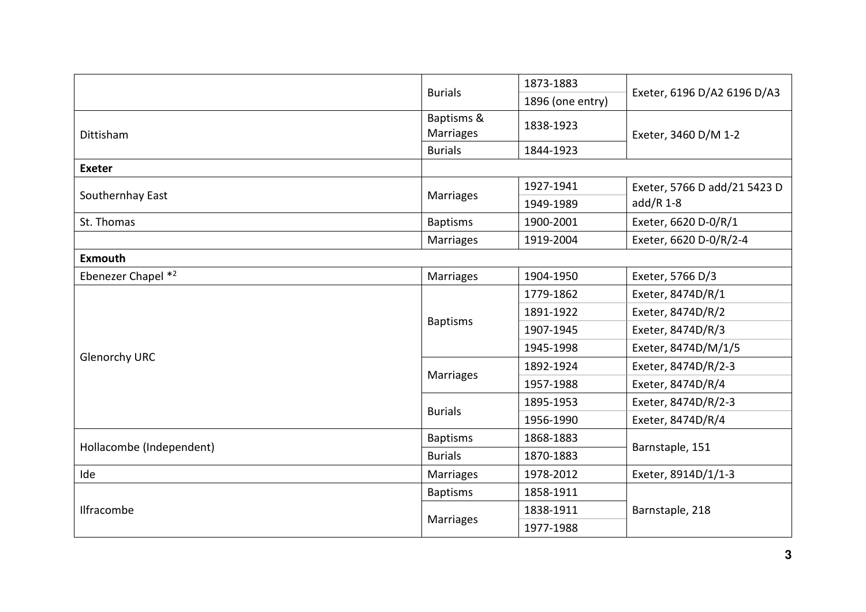|                          | <b>Burials</b>          | 1873-1883        | Exeter, 6196 D/A2 6196 D/A3                 |
|--------------------------|-------------------------|------------------|---------------------------------------------|
|                          |                         | 1896 (one entry) |                                             |
| Dittisham                | Baptisms &<br>Marriages | 1838-1923        | Exeter, 3460 D/M 1-2                        |
|                          | <b>Burials</b>          | 1844-1923        |                                             |
| <b>Exeter</b>            |                         |                  |                                             |
|                          |                         | 1927-1941        | Exeter, 5766 D add/21 5423 D<br>$add/R$ 1-8 |
| Southernhay East         | Marriages               | 1949-1989        |                                             |
| St. Thomas               | <b>Baptisms</b>         | 1900-2001        | Exeter, 6620 D-0/R/1                        |
|                          | <b>Marriages</b>        | 1919-2004        | Exeter, 6620 D-0/R/2-4                      |
| <b>Exmouth</b>           |                         |                  |                                             |
| Ebenezer Chapel *2       | Marriages               | 1904-1950        | Exeter, 5766 D/3                            |
|                          |                         | 1779-1862        | Exeter, 8474D/R/1                           |
|                          | <b>Baptisms</b>         | 1891-1922        | Exeter, 8474D/R/2                           |
|                          |                         | 1907-1945        | Exeter, 8474D/R/3                           |
|                          |                         | 1945-1998        | Exeter, 8474D/M/1/5                         |
| <b>Glenorchy URC</b>     |                         | 1892-1924        | Exeter, 8474D/R/2-3                         |
|                          | Marriages               | 1957-1988        | Exeter, 8474D/R/4                           |
|                          |                         | 1895-1953        | Exeter, 8474D/R/2-3                         |
|                          | <b>Burials</b>          | 1956-1990        | Exeter, 8474D/R/4                           |
|                          | <b>Baptisms</b>         | 1868-1883        | Barnstaple, 151                             |
| Hollacombe (Independent) | <b>Burials</b>          | 1870-1883        |                                             |
| Ide                      | Marriages               | 1978-2012        | Exeter, 8914D/1/1-3                         |
|                          | <b>Baptisms</b>         | 1858-1911        |                                             |
| Ilfracombe               |                         | 1838-1911        | Barnstaple, 218                             |
|                          | Marriages               | 1977-1988        |                                             |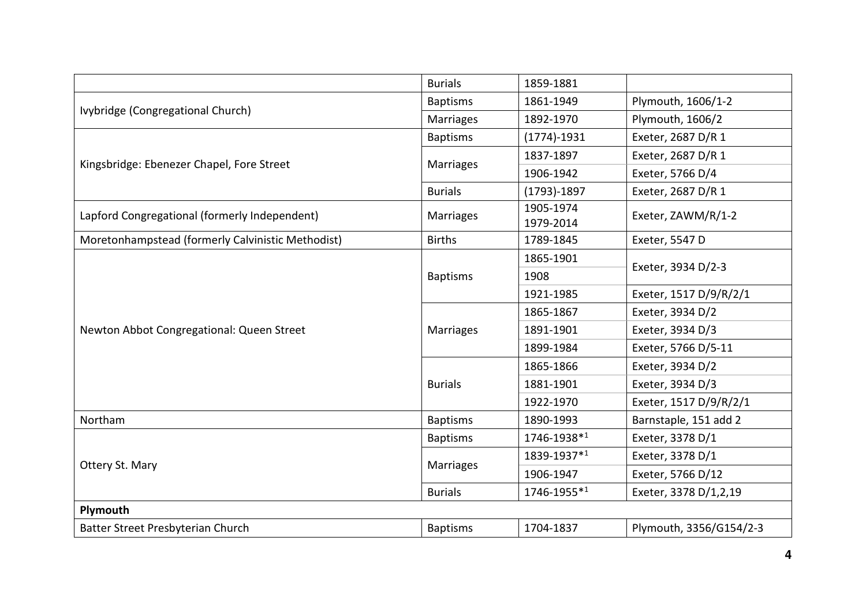|                                                   | <b>Burials</b>   | 1859-1881              |                         |
|---------------------------------------------------|------------------|------------------------|-------------------------|
|                                                   | <b>Baptisms</b>  | 1861-1949              | Plymouth, 1606/1-2      |
| Ivybridge (Congregational Church)                 | <b>Marriages</b> | 1892-1970              | Plymouth, 1606/2        |
| Kingsbridge: Ebenezer Chapel, Fore Street         | <b>Baptisms</b>  | $(1774)-1931$          | Exeter, 2687 D/R 1      |
|                                                   |                  | 1837-1897              | Exeter, 2687 D/R 1      |
|                                                   | <b>Marriages</b> | 1906-1942              | Exeter, 5766 D/4        |
|                                                   | <b>Burials</b>   | $(1793)-1897$          | Exeter, 2687 D/R 1      |
| Lapford Congregational (formerly Independent)     | <b>Marriages</b> | 1905-1974<br>1979-2014 | Exeter, ZAWM/R/1-2      |
| Moretonhampstead (formerly Calvinistic Methodist) | <b>Births</b>    | 1789-1845              | Exeter, 5547 D          |
|                                                   |                  | 1865-1901              |                         |
|                                                   | <b>Baptisms</b>  | 1908                   | Exeter, 3934 D/2-3      |
|                                                   |                  | 1921-1985              | Exeter, 1517 D/9/R/2/1  |
|                                                   | Marriages        | 1865-1867              | Exeter, 3934 D/2        |
| Newton Abbot Congregational: Queen Street         |                  | 1891-1901              | Exeter, 3934 D/3        |
|                                                   |                  | 1899-1984              | Exeter, 5766 D/5-11     |
|                                                   |                  | 1865-1866              | Exeter, 3934 D/2        |
|                                                   | <b>Burials</b>   | 1881-1901              | Exeter, 3934 D/3        |
|                                                   |                  | 1922-1970              | Exeter, 1517 D/9/R/2/1  |
| Northam                                           | <b>Baptisms</b>  | 1890-1993              | Barnstaple, 151 add 2   |
|                                                   | <b>Baptisms</b>  | 1746-1938*1            | Exeter, 3378 D/1        |
|                                                   | <b>Marriages</b> | 1839-1937*1            | Exeter, 3378 D/1        |
| Ottery St. Mary                                   |                  | 1906-1947              | Exeter, 5766 D/12       |
|                                                   | <b>Burials</b>   | 1746-1955*1            | Exeter, 3378 D/1,2,19   |
| Plymouth                                          |                  |                        |                         |
| Batter Street Presbyterian Church                 | <b>Baptisms</b>  | 1704-1837              | Plymouth, 3356/G154/2-3 |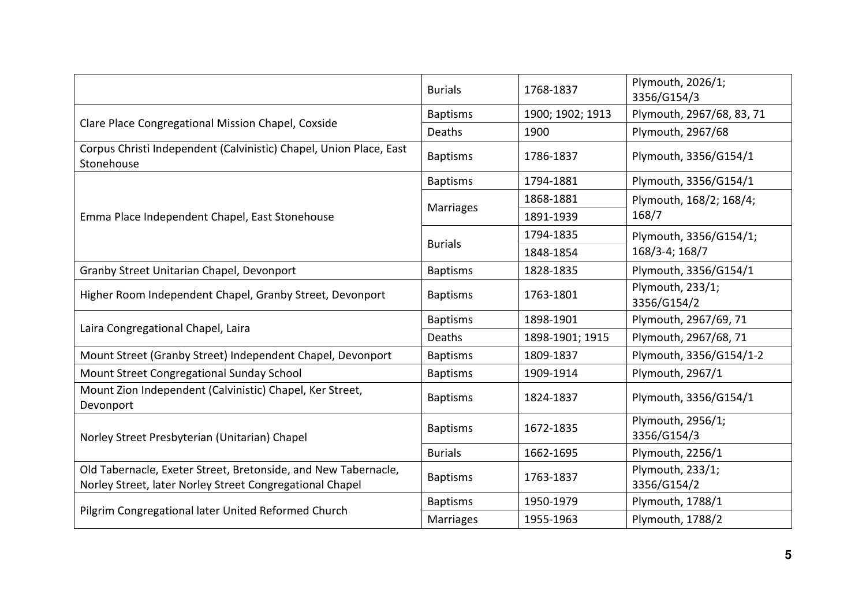|                                                                                                                            | <b>Burials</b>  | 1768-1837        | Plymouth, 2026/1;<br>3356/G154/3 |
|----------------------------------------------------------------------------------------------------------------------------|-----------------|------------------|----------------------------------|
|                                                                                                                            | <b>Baptisms</b> | 1900; 1902; 1913 | Plymouth, 2967/68, 83, 71        |
| Clare Place Congregational Mission Chapel, Coxside                                                                         | Deaths          | 1900             | Plymouth, 2967/68                |
| Corpus Christi Independent (Calvinistic) Chapel, Union Place, East<br>Stonehouse                                           | <b>Baptisms</b> | 1786-1837        | Plymouth, 3356/G154/1            |
|                                                                                                                            | <b>Baptisms</b> | 1794-1881        | Plymouth, 3356/G154/1            |
|                                                                                                                            | Marriages       | 1868-1881        | Plymouth, 168/2; 168/4;<br>168/7 |
| Emma Place Independent Chapel, East Stonehouse                                                                             |                 | 1891-1939        |                                  |
|                                                                                                                            |                 | 1794-1835        | Plymouth, 3356/G154/1;           |
|                                                                                                                            | <b>Burials</b>  | 1848-1854        | 168/3-4; 168/7                   |
| Granby Street Unitarian Chapel, Devonport                                                                                  | <b>Baptisms</b> | 1828-1835        | Plymouth, 3356/G154/1            |
| Higher Room Independent Chapel, Granby Street, Devonport                                                                   | <b>Baptisms</b> | 1763-1801        | Plymouth, 233/1;<br>3356/G154/2  |
|                                                                                                                            | <b>Baptisms</b> | 1898-1901        | Plymouth, 2967/69, 71            |
| Laira Congregational Chapel, Laira                                                                                         | Deaths          | 1898-1901; 1915  | Plymouth, 2967/68, 71            |
| Mount Street (Granby Street) Independent Chapel, Devonport                                                                 | <b>Baptisms</b> | 1809-1837        | Plymouth, 3356/G154/1-2          |
| Mount Street Congregational Sunday School                                                                                  | <b>Baptisms</b> | 1909-1914        | Plymouth, 2967/1                 |
| Mount Zion Independent (Calvinistic) Chapel, Ker Street,<br>Devonport                                                      | <b>Baptisms</b> | 1824-1837        | Plymouth, 3356/G154/1            |
| Norley Street Presbyterian (Unitarian) Chapel                                                                              | <b>Baptisms</b> | 1672-1835        | Plymouth, 2956/1;<br>3356/G154/3 |
|                                                                                                                            | <b>Burials</b>  | 1662-1695        | Plymouth, 2256/1                 |
| Old Tabernacle, Exeter Street, Bretonside, and New Tabernacle,<br>Norley Street, later Norley Street Congregational Chapel | <b>Baptisms</b> | 1763-1837        | Plymouth, 233/1;<br>3356/G154/2  |
|                                                                                                                            | <b>Baptisms</b> | 1950-1979        | Plymouth, 1788/1                 |
| Pilgrim Congregational later United Reformed Church                                                                        | Marriages       | 1955-1963        | Plymouth, 1788/2                 |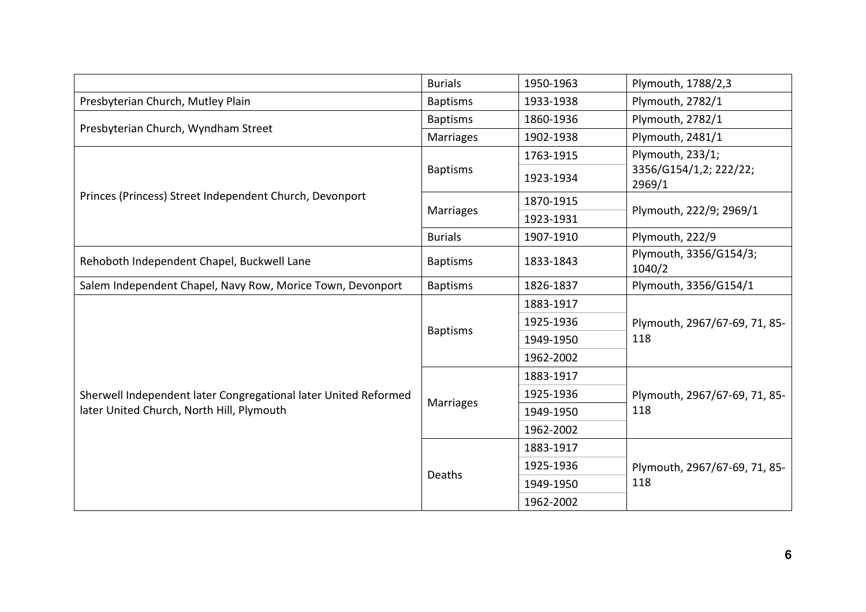|                                                                 | <b>Burials</b>   | 1950-1963 | Plymouth, 1788/2,3                   |
|-----------------------------------------------------------------|------------------|-----------|--------------------------------------|
| Presbyterian Church, Mutley Plain                               | <b>Baptisms</b>  | 1933-1938 | Plymouth, 2782/1                     |
| Presbyterian Church, Wyndham Street                             | <b>Baptisms</b>  | 1860-1936 | Plymouth, 2782/1                     |
|                                                                 | <b>Marriages</b> | 1902-1938 | Plymouth, 2481/1                     |
|                                                                 | <b>Baptisms</b>  | 1763-1915 | Plymouth, 233/1;                     |
|                                                                 |                  | 1923-1934 | 3356/G154/1,2; 222/22;<br>2969/1     |
| Princes (Princess) Street Independent Church, Devonport         |                  | 1870-1915 | Plymouth, 222/9; 2969/1              |
|                                                                 | <b>Marriages</b> | 1923-1931 |                                      |
|                                                                 | <b>Burials</b>   | 1907-1910 | Plymouth, 222/9                      |
| Rehoboth Independent Chapel, Buckwell Lane                      | <b>Baptisms</b>  | 1833-1843 | Plymouth, 3356/G154/3;<br>1040/2     |
| Salem Independent Chapel, Navy Row, Morice Town, Devonport      | <b>Baptisms</b>  | 1826-1837 | Plymouth, 3356/G154/1                |
|                                                                 |                  | 1883-1917 | Plymouth, 2967/67-69, 71, 85-<br>118 |
|                                                                 | <b>Baptisms</b>  | 1925-1936 |                                      |
|                                                                 |                  | 1949-1950 |                                      |
|                                                                 |                  | 1962-2002 |                                      |
|                                                                 |                  | 1883-1917 | Plymouth, 2967/67-69, 71, 85-<br>118 |
| Sherwell Independent later Congregational later United Reformed |                  | 1925-1936 |                                      |
| later United Church, North Hill, Plymouth                       | <b>Marriages</b> | 1949-1950 |                                      |
|                                                                 |                  | 1962-2002 |                                      |
|                                                                 |                  | 1883-1917 | Plymouth, 2967/67-69, 71, 85-<br>118 |
|                                                                 |                  | 1925-1936 |                                      |
|                                                                 | Deaths           | 1949-1950 |                                      |
|                                                                 |                  | 1962-2002 |                                      |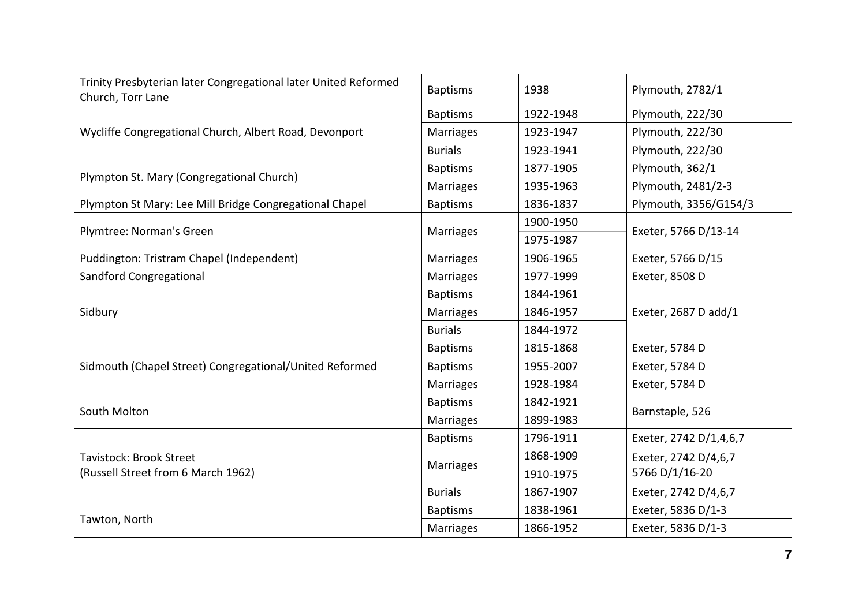| Trinity Presbyterian later Congregational later United Reformed<br>Church, Torr Lane | <b>Baptisms</b>  | 1938      | Plymouth, 2782/1       |  |
|--------------------------------------------------------------------------------------|------------------|-----------|------------------------|--|
| Wycliffe Congregational Church, Albert Road, Devonport                               | <b>Baptisms</b>  | 1922-1948 | Plymouth, 222/30       |  |
|                                                                                      | <b>Marriages</b> | 1923-1947 | Plymouth, 222/30       |  |
|                                                                                      | <b>Burials</b>   | 1923-1941 | Plymouth, 222/30       |  |
| Plympton St. Mary (Congregational Church)                                            | <b>Baptisms</b>  | 1877-1905 | Plymouth, 362/1        |  |
|                                                                                      | <b>Marriages</b> | 1935-1963 | Plymouth, 2481/2-3     |  |
| Plympton St Mary: Lee Mill Bridge Congregational Chapel                              | <b>Baptisms</b>  | 1836-1837 | Plymouth, 3356/G154/3  |  |
| Plymtree: Norman's Green                                                             |                  | 1900-1950 | Exeter, 5766 D/13-14   |  |
|                                                                                      | <b>Marriages</b> | 1975-1987 |                        |  |
| Puddington: Tristram Chapel (Independent)                                            | <b>Marriages</b> | 1906-1965 | Exeter, 5766 D/15      |  |
| <b>Sandford Congregational</b>                                                       | <b>Marriages</b> | 1977-1999 | Exeter, 8508 D         |  |
|                                                                                      | <b>Baptisms</b>  | 1844-1961 | Exeter, 2687 D add/1   |  |
| Sidbury                                                                              | Marriages        | 1846-1957 |                        |  |
|                                                                                      | <b>Burials</b>   | 1844-1972 |                        |  |
|                                                                                      | <b>Baptisms</b>  | 1815-1868 | Exeter, 5784 D         |  |
| Sidmouth (Chapel Street) Congregational/United Reformed                              | <b>Baptisms</b>  | 1955-2007 | Exeter, 5784 D         |  |
|                                                                                      | Marriages        | 1928-1984 | Exeter, 5784 D         |  |
|                                                                                      | <b>Baptisms</b>  | 1842-1921 | Barnstaple, 526        |  |
| South Molton                                                                         | Marriages        | 1899-1983 |                        |  |
|                                                                                      | <b>Baptisms</b>  | 1796-1911 | Exeter, 2742 D/1,4,6,7 |  |
| <b>Tavistock: Brook Street</b>                                                       |                  | 1868-1909 | Exeter, 2742 D/4,6,7   |  |
| (Russell Street from 6 March 1962)                                                   | <b>Marriages</b> | 1910-1975 | 5766 D/1/16-20         |  |
|                                                                                      | <b>Burials</b>   | 1867-1907 | Exeter, 2742 D/4,6,7   |  |
|                                                                                      | <b>Baptisms</b>  | 1838-1961 | Exeter, 5836 D/1-3     |  |
| Tawton, North                                                                        | <b>Marriages</b> | 1866-1952 | Exeter, 5836 D/1-3     |  |